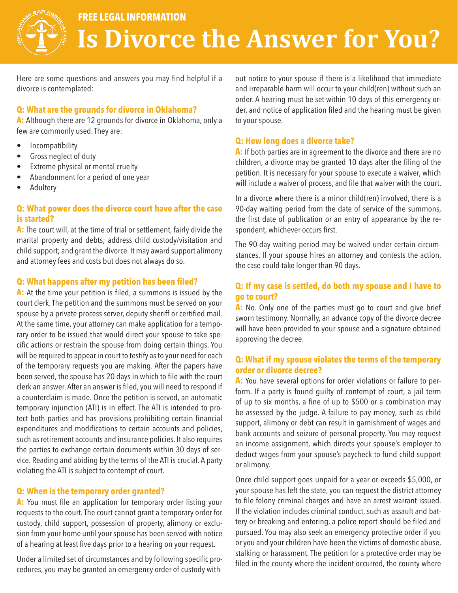

# **FREE LEGAL INFORMATION Is Divorce the Answer for You?**

Here are some questions and answers you may find helpful if a divorce is contemplated:

## **Q: What are the grounds for divorce in Oklahoma?**

**A:** Although there are 12 grounds for divorce in Oklahoma, only a few are commonly used. They are:

- Incompatibility
- Gross neglect of duty
- Extreme physical or mental cruelty
- Abandonment for a period of one year
- **Adultery**

## **Q: What power does the divorce court have after the case is started?**

**A:** The court will, at the time of trial or settlement, fairly divide the marital property and debts; address child custody/visitation and child support; and grant the divorce. It may award support alimony and attorney fees and costs but does not always do so.

#### **Q: What happens after my petition has been filed?**

A: At the time your petition is filed, a summons is issued by the court clerk. The petition and the summons must be served on your spouse by a private process server, deputy sheriff or certified mail. At the same time, your attorney can make application for a temporary order to be issued that would direct your spouse to take specific actions or restrain the spouse from doing certain things. You will be required to appear in court to testify as to your need for each of the temporary requests you are making. After the papers have been served, the spouse has 20 days in which to file with the court clerk an answer. After an answer is filed, you will need to respond if a counterclaim is made. Once the petition is served, an automatic temporary injunction (ATI) is in effect. The ATI is intended to protect both parties and has provisions prohibiting certain financial expenditures and modifications to certain accounts and policies, such as retirement accounts and insurance policies. It also requires the parties to exchange certain documents within 30 days of service. Reading and abiding by the terms of the ATI is crucial. A party violating the ATI is subject to contempt of court.

## **Q: When is the temporary order granted?**

**A:** You must file an application for temporary order listing your requests to the court. The court cannot grant a temporary order for custody, child support, possession of property, alimony or exclusion from your home until your spouse has been served with notice of a hearing at least five days prior to a hearing on your request.

Under a limited set of circumstances and by following specific procedures, you may be granted an emergency order of custody without notice to your spouse if there is a likelihood that immediate and irreparable harm will occur to your child(ren) without such an order. A hearing must be set within 10 days of this emergency order, and notice of application filed and the hearing must be given to your spouse.

## **Q: How long does a divorce take?**

A: If both parties are in agreement to the divorce and there are no children, a divorce may be granted 10 days after the filing of the petition. It is necessary for your spouse to execute a waiver, which will include a waiver of process, and file that waiver with the court.

In a divorce where there is a minor child(ren) involved, there is a 90-day waiting period from the date of service of the summons, the first date of publication or an entry of appearance by the respondent, whichever occurs first.

The 90-day waiting period may be waived under certain circumstances. If your spouse hires an attorney and contests the action, the case could take longer than 90 days.

## **Q: If my case is settled, do both my spouse and I have to go to court?**

A: No. Only one of the parties must go to court and give brief sworn testimony. Normally, an advance copy of the divorce decree will have been provided to your spouse and a signature obtained approving the decree.

# **Q: What if my spouse violates the terms of the temporary order or divorce decree?**

A: You have several options for order violations or failure to perform. If a party is found guilty of contempt of court, a jail term of up to six months, a fine of up to \$500 or a combination may be assessed by the judge. A failure to pay money, such as child support, alimony or debt can result in garnishment of wages and bank accounts and seizure of personal property. You may request an income assignment, which directs your spouse's employer to deduct wages from your spouse's paycheck to fund child support or alimony.

Once child support goes unpaid for a year or exceeds \$5,000, or your spouse has left the state, you can request the district attorney to file felony criminal charges and have an arrest warrant issued. If the violation includes criminal conduct, such as assault and battery or breaking and entering, a police report should be filed and pursued. You may also seek an emergency protective order if you or you and your children have been the victims of domestic abuse, stalking or harassment. The petition for a protective order may be filed in the county where the incident occurred, the county where